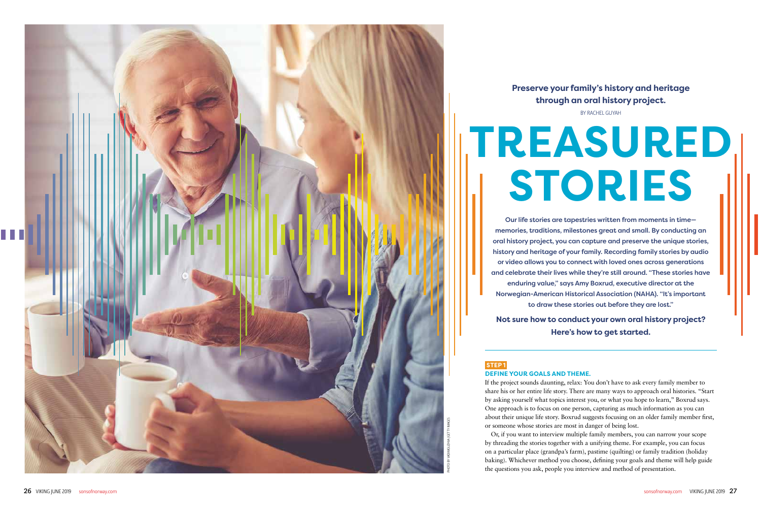# **Preserve your family's history and heritage through an oral history project.**

BY RACHEL GUYAH

Our life stories are tapestries written from moments in time memories, traditions, milestones great and small. By conducting an oral history project, you can capture and preserve the unique stories, history and heritage of your family. Recording family stories by audio or video allows you to connect with loved ones across generations and celebrate their lives while they're still around. "These stories have enduring value," says Amy Boxrud, executive director at the Norwegian-American Historical Association (NAHA). "It's important to draw these stories out before they are lost."

**Not sure how to conduct your own oral history project? Here's how to get started.**

# **STEP1**

# **TREASURED STORIES**

**DEFINE YOUR GOALS AND THEME.**

If the project sounds daunting, relax: You don't have to ask every family member to share his or her entire life story. There are many ways to approach oral histories. "Start by asking yourself what topics interest you, or what you hope to learn," Boxrud says. One approach is to focus on one person, capturing as much information as you can about their unique life story. Boxrud suggests focusing on an older family member first, or someone whose stories are most in danger of being lost.

Or, if you want to interview multiple family members, you can narrow your scope by threading the stories together with a unifying theme. For example, you can focus on a particular place (grandpa's farm), pastime (quilting) or family tradition (holiday baking). Whichever method you choose, defining your goals and theme will help guide the questions you ask, people you interview and method of presentation.